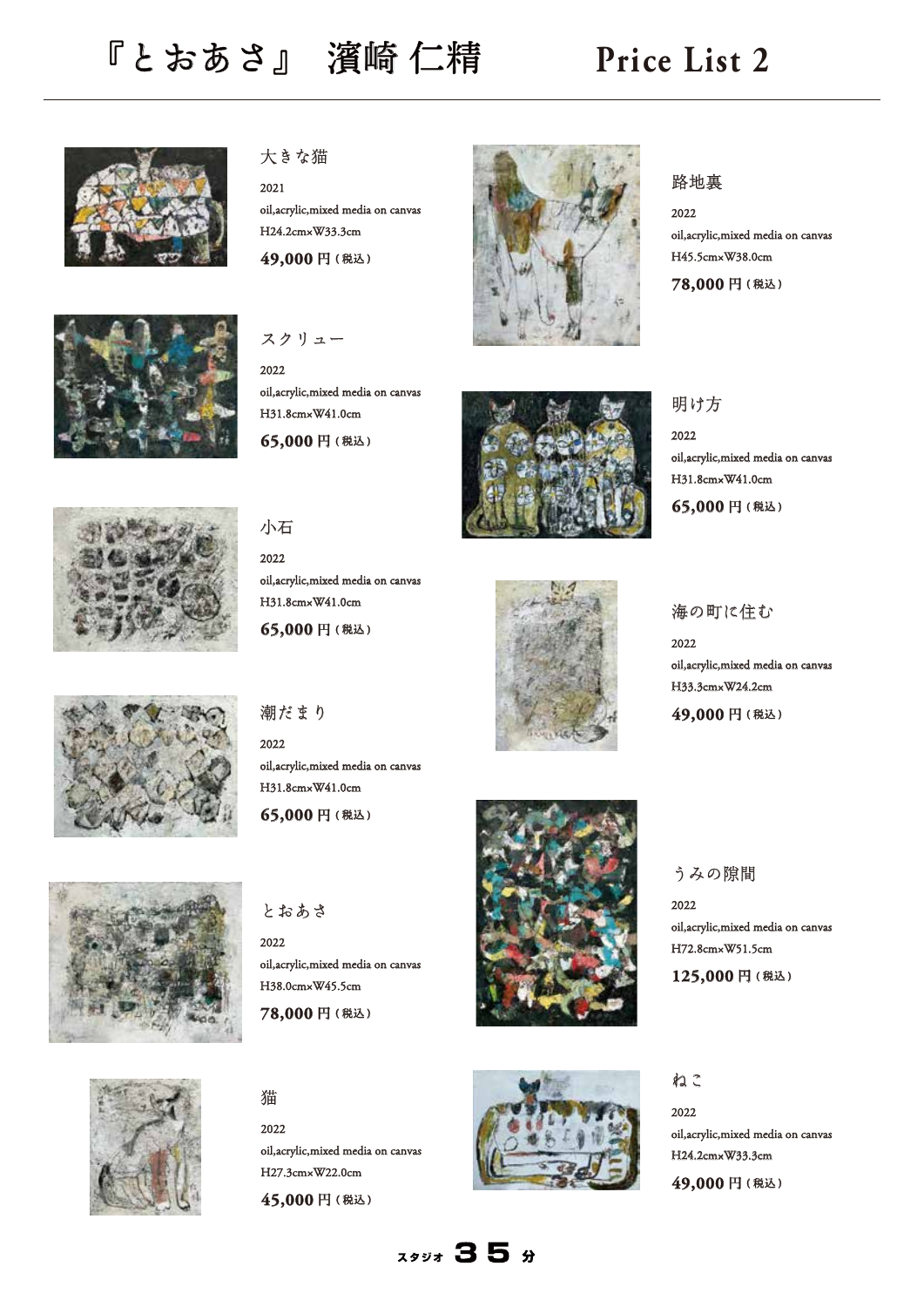## 『とおあさ』 濱崎 仁精 **Price List 2**





大きな猫

2021 oil,acrylic,mixed media on canvas H24.2cm×W33.3cm **49,000** 円 **(** 税込 **)**



2022 oil,acrylic,mixed media on canvas H31.8cm×W41.0cm **65,000** 円 **(** 税込 **)**





2022 oil,acrylic,mixed media on canvas H45.5cm×W38.0cm

**78,000** 円 **(** 税込 **)**



2022 oil,acrylic,mixed media on canvas H31.8cm×W41.0cm **65,000** 円 **(** 税込 **)**



小石

2022 oil,acrylic,mixed media on canvas H31.8cm×W41.0cm

**65,000** 円 **(** 税込 **)**



海の町に住む

2022

oil,acrylic,mixed media on canvas H33.3cm×W24.2cm

**49,000** 円 **(** 税込 **)**



## 潮だまり

2022 oil,acrylic,mixed media on canvas H31.8cm×W41.0cm

**65,000** 円 **(** 税込 **)**



### とおあさ

2022 oil,acrylic,mixed media on canvas H38.0cm×W45.5cm

**78,000** 円 **(** 税込 **)**





# 猫

2022 oil,acrylic,mixed media on canvas H27.3cm×W22.0cm **45,000** 円 **(** 税込 **)**



### ねこ

2022

2022 oil,acrylic,mixed media on canvas H24.2cm×W33.3cm **49,000** 円 **(** 税込 **)**

oil,acrylic,mixed media on canvas

H72.8cm×W51.5cm **125,000** 円 **(** 税込 **)**

うみの隙間

 $7447$  35 %